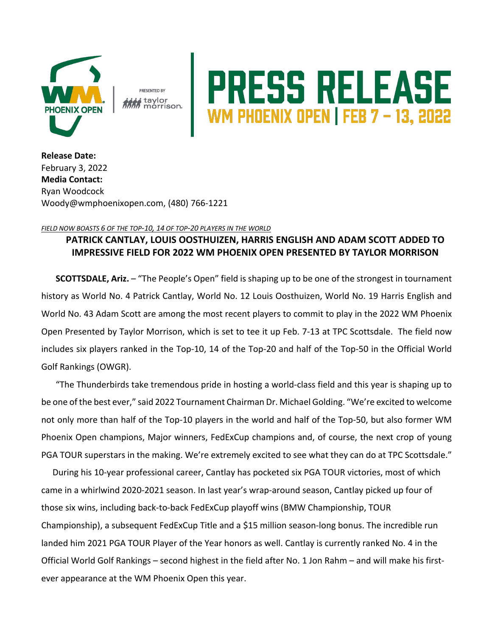

PRESENTED BY **: taylor**<br>M morrison.

## **PRESS RELEASE**<br>WM PHOENIX OPEN | FEB 7 – 13, 2022

**Release Date:**  February 3, 2022 **Media Contact:** Ryan Woodcock Woody@wmphoenixopen.com, (480) 766-1221

## *FIELD NOW BOASTS 6 OF THE TOP-10, 14 OF TOP-20 PLAYERS IN THE WORLD*

## **PATRICK CANTLAY, LOUIS OOSTHUIZEN, HARRIS ENGLISH AND ADAM SCOTT ADDED TO IMPRESSIVE FIELD FOR 2022 WM PHOENIX OPEN PRESENTED BY TAYLOR MORRISON**

**SCOTTSDALE, Ariz.** – "The People's Open" field is shaping up to be one of the strongest in tournament history as World No. 4 Patrick Cantlay, World No. 12 Louis Oosthuizen, World No. 19 Harris English and World No. 43 Adam Scott are among the most recent players to commit to play in the 2022 WM Phoenix Open Presented by Taylor Morrison, which is set to tee it up Feb. 7-13 at TPC Scottsdale. The field now includes six players ranked in the Top-10, 14 of the Top-20 and half of the Top-50 in the Official World Golf Rankings (OWGR).

"The Thunderbirds take tremendous pride in hosting a world-class field and this year is shaping up to be one of the best ever," said 2022 Tournament Chairman Dr. Michael Golding. "We're excited to welcome not only more than half of the Top-10 players in the world and half of the Top-50, but also former WM Phoenix Open champions, Major winners, FedExCup champions and, of course, the next crop of young PGA TOUR superstars in the making. We're extremely excited to see what they can do at TPC Scottsdale."

During his 10-year professional career, Cantlay has pocketed six PGA TOUR victories, most of which came in a whirlwind 2020-2021 season. In last year's wrap-around season, Cantlay picked up four of those six wins, including back-to-back FedExCup playoff wins (BMW Championship, TOUR Championship), a subsequent FedExCup Title and a \$15 million season-long bonus. The incredible run landed him 2021 PGA TOUR Player of the Year honors as well. Cantlay is currently ranked No. 4 in the Official World Golf Rankings – second highest in the field after No. 1 Jon Rahm – and will make his firstever appearance at the WM Phoenix Open this year.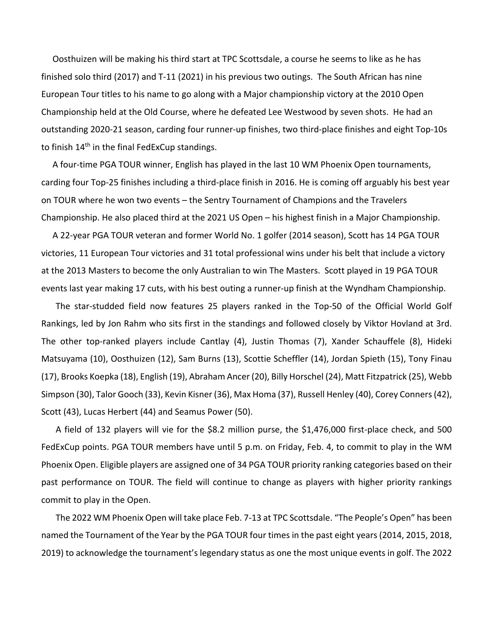Oosthuizen will be making his third start at TPC Scottsdale, a course he seems to like as he has finished solo third (2017) and T-11 (2021) in his previous two outings. The South African has nine European Tour titles to his name to go along with a Major championship victory at the 2010 Open Championship held at the Old Course, where he defeated Lee Westwood by seven shots. He had an outstanding 2020-21 season, carding four runner-up finishes, two third-place finishes and eight Top-10s to finish 14<sup>th</sup> in the final FedExCup standings.

A four-time PGA TOUR winner, English has played in the last 10 WM Phoenix Open tournaments, carding four Top-25 finishes including a third-place finish in 2016. He is coming off arguably his best year on TOUR where he won two events – the Sentry Tournament of Champions and the Travelers Championship. He also placed third at the 2021 US Open – his highest finish in a Major Championship.

A 22-year PGA TOUR veteran and former World No. 1 golfer (2014 season), Scott has 14 PGA TOUR victories, 11 European Tour victories and 31 total professional wins under his belt that include a victory at the 2013 Masters to become the only Australian to win The Masters. Scott played in 19 PGA TOUR events last year making 17 cuts, with his best outing a runner-up finish at the Wyndham Championship.

The star-studded field now features 25 players ranked in the Top-50 of the Official World Golf Rankings, led by Jon Rahm who sits first in the standings and followed closely by Viktor Hovland at 3rd. The other top-ranked players include Cantlay (4), Justin Thomas (7), Xander Schauffele (8), Hideki Matsuyama (10), Oosthuizen (12), Sam Burns (13), Scottie Scheffler (14), Jordan Spieth (15), Tony Finau (17), Brooks Koepka (18), English (19), Abraham Ancer (20), Billy Horschel (24), Matt Fitzpatrick (25), Webb Simpson (30), Talor Gooch (33), Kevin Kisner (36), Max Homa (37), Russell Henley (40), Corey Conners (42), Scott (43), Lucas Herbert (44) and Seamus Power (50).

A field of 132 players will vie for the \$8.2 million purse, the \$1,476,000 first-place check, and 500 FedExCup points. PGA TOUR members have until 5 p.m. on Friday, Feb. 4, to commit to play in the WM Phoenix Open. Eligible players are assigned one of 34 PGA TOUR priority ranking categories based on their past performance on TOUR. The field will continue to change as players with higher priority rankings commit to play in the Open.

The 2022 WM Phoenix Open will take place Feb. 7-13 at TPC Scottsdale. "The People's Open" has been named the Tournament of the Year by the PGA TOUR four times in the past eight years (2014, 2015, 2018, 2019) to acknowledge the tournament's legendary status as one the most unique events in golf. The 2022